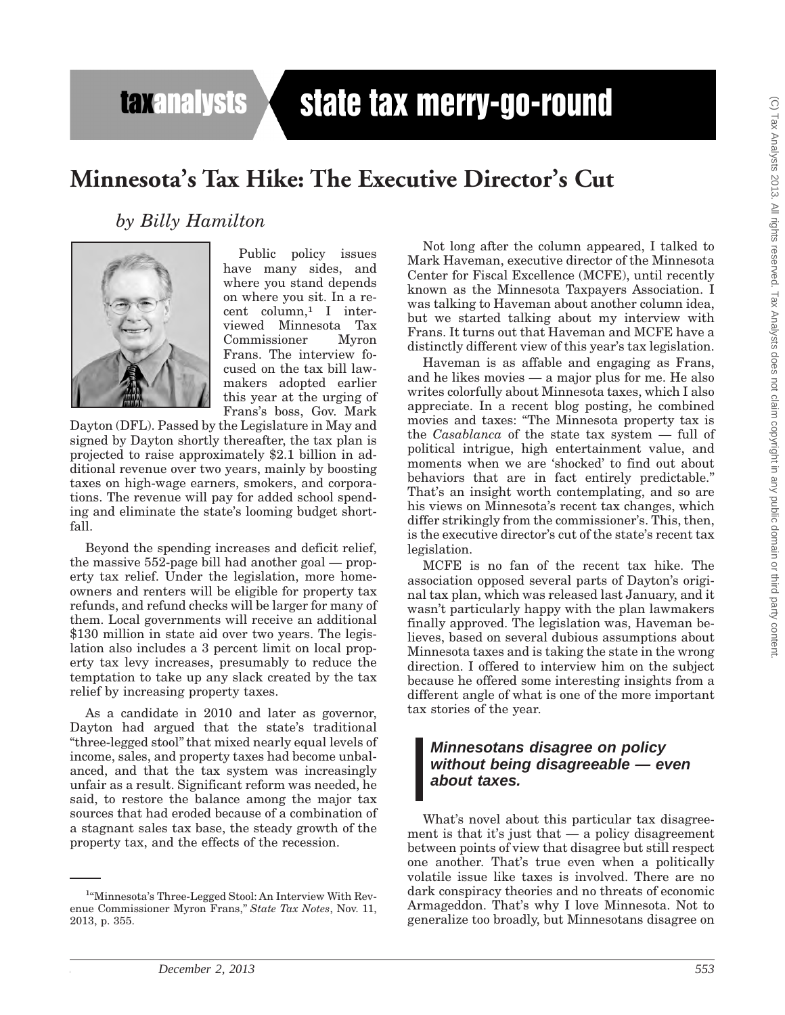**taxanalysts** 

# state tax merry-go-round

## **Minnesota's Tax Hike: The Executive Director's Cut**

### *by Billy Hamilton*



Public policy issues have many sides, and where you stand depends on where you sit. In a recent column,1 I interviewed Minnesota Tax Commissioner Frans. The interview focused on the tax bill lawmakers adopted earlier this year at the urging of Frans's boss, Gov. Mark

Dayton (DFL). Passed by the Legislature in May and signed by Dayton shortly thereafter, the tax plan is projected to raise approximately \$2.1 billion in additional revenue over two years, mainly by boosting taxes on high-wage earners, smokers, and corporations. The revenue will pay for added school spending and eliminate the state's looming budget shortfall.

Beyond the spending increases and deficit relief, the massive 552-page bill had another goal — property tax relief. Under the legislation, more homeowners and renters will be eligible for property tax refunds, and refund checks will be larger for many of them. Local governments will receive an additional \$130 million in state aid over two years. The legislation also includes a 3 percent limit on local property tax levy increases, presumably to reduce the temptation to take up any slack created by the tax relief by increasing property taxes.

As a candidate in 2010 and later as governor, Dayton had argued that the state's traditional ''three-legged stool'' that mixed nearly equal levels of income, sales, and property taxes had become unbalanced, and that the tax system was increasingly unfair as a result. Significant reform was needed, he said, to restore the balance among the major tax sources that had eroded because of a combination of a stagnant sales tax base, the steady growth of the property tax, and the effects of the recession.

Not long after the column appeared, I talked to Mark Haveman, executive director of the Minnesota Center for Fiscal Excellence (MCFE), until recently known as the Minnesota Taxpayers Association. I was talking to Haveman about another column idea, but we started talking about my interview with Frans. It turns out that Haveman and MCFE have a distinctly different view of this year's tax legislation.

Haveman is as affable and engaging as Frans, and he likes movies — a major plus for me. He also writes colorfully about Minnesota taxes, which I also appreciate. In a recent blog posting, he combined movies and taxes: ''The Minnesota property tax is the *Casablanca* of the state tax system — full of political intrigue, high entertainment value, and moments when we are 'shocked' to find out about behaviors that are in fact entirely predictable.'' That's an insight worth contemplating, and so are his views on Minnesota's recent tax changes, which differ strikingly from the commissioner's. This, then, is the executive director's cut of the state's recent tax legislation.

MCFE is no fan of the recent tax hike. The association opposed several parts of Dayton's original tax plan, which was released last January, and it wasn't particularly happy with the plan lawmakers finally approved. The legislation was, Haveman believes, based on several dubious assumptions about Minnesota taxes and is taking the state in the wrong direction. I offered to interview him on the subject because he offered some interesting insights from a different angle of what is one of the more important tax stories of the year.

#### *Minnesotans disagree on policy without being disagreeable — even about taxes.*

What's novel about this particular tax disagreement is that it's just that  $-$  a policy disagreement between points of view that disagree but still respect one another. That's true even when a politically volatile issue like taxes is involved. There are no dark conspiracy theories and no threats of economic Armageddon. That's why I love Minnesota. Not to generalize too broadly, but Minnesotans disagree on

<sup>&</sup>lt;sup>1</sup>"Minnesota's Three-Legged Stool: An Interview With Revenue Commissioner Myron Frans,'' *State Tax Notes*, Nov. 11, 2013, p. 355.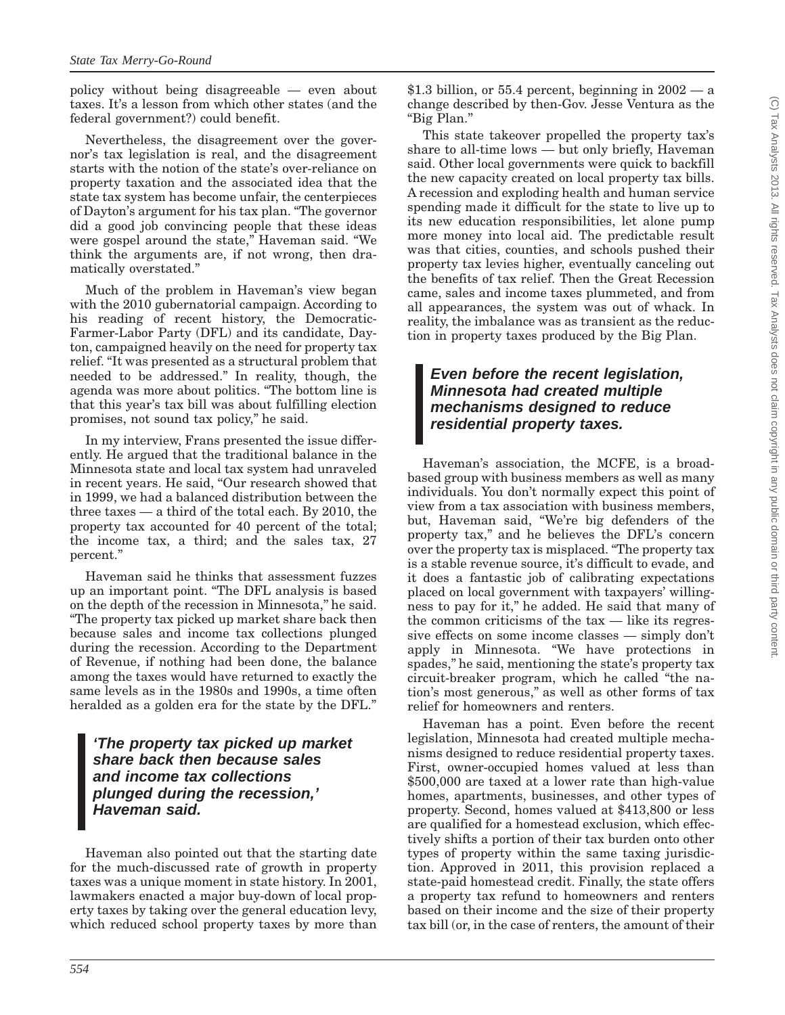policy without being disagreeable — even about taxes. It's a lesson from which other states (and the federal government?) could benefit.

Nevertheless, the disagreement over the governor's tax legislation is real, and the disagreement starts with the notion of the state's over-reliance on property taxation and the associated idea that the state tax system has become unfair, the centerpieces of Dayton's argument for his tax plan. ''The governor did a good job convincing people that these ideas were gospel around the state,'' Haveman said. ''We think the arguments are, if not wrong, then dramatically overstated.''

Much of the problem in Haveman's view began with the 2010 gubernatorial campaign. According to his reading of recent history, the Democratic-Farmer-Labor Party (DFL) and its candidate, Dayton, campaigned heavily on the need for property tax relief. ''It was presented as a structural problem that needed to be addressed.'' In reality, though, the agenda was more about politics. ''The bottom line is that this year's tax bill was about fulfilling election promises, not sound tax policy,'' he said.

In my interview, Frans presented the issue differently. He argued that the traditional balance in the Minnesota state and local tax system had unraveled in recent years. He said, ''Our research showed that in 1999, we had a balanced distribution between the three taxes — a third of the total each. By 2010, the property tax accounted for 40 percent of the total; the income tax, a third; and the sales tax, 27 percent.''

Haveman said he thinks that assessment fuzzes up an important point. ''The DFL analysis is based on the depth of the recession in Minnesota,'' he said. ''The property tax picked up market share back then because sales and income tax collections plunged during the recession. According to the Department of Revenue, if nothing had been done, the balance among the taxes would have returned to exactly the same levels as in the 1980s and 1990s, a time often heralded as a golden era for the state by the DFL.''

#### *'The property tax picked up market share back then because sales and income tax collections plunged during the recession,' Haveman said.*

Haveman also pointed out that the starting date for the much-discussed rate of growth in property taxes was a unique moment in state history. In 2001, lawmakers enacted a major buy-down of local property taxes by taking over the general education levy, which reduced school property taxes by more than

\$1.3 billion, or 55.4 percent, beginning in  $2002 - a$ change described by then-Gov. Jesse Ventura as the ''Big Plan.''

This state takeover propelled the property tax's share to all-time lows — but only briefly, Haveman said. Other local governments were quick to backfill the new capacity created on local property tax bills. A recession and exploding health and human service spending made it difficult for the state to live up to its new education responsibilities, let alone pump more money into local aid. The predictable result was that cities, counties, and schools pushed their property tax levies higher, eventually canceling out the benefits of tax relief. Then the Great Recession came, sales and income taxes plummeted, and from all appearances, the system was out of whack. In reality, the imbalance was as transient as the reduction in property taxes produced by the Big Plan.

#### *Even before the recent legislation, Minnesota had created multiple mechanisms designed to reduce residential property taxes.*

Haveman's association, the MCFE, is a broadbased group with business members as well as many individuals. You don't normally expect this point of view from a tax association with business members, but, Haveman said, ''We're big defenders of the property tax,'' and he believes the DFL's concern over the property tax is misplaced. ''The property tax is a stable revenue source, it's difficult to evade, and it does a fantastic job of calibrating expectations placed on local government with taxpayers' willingness to pay for it,'' he added. He said that many of the common criticisms of the  $tax$  — like its regressive effects on some income classes — simply don't apply in Minnesota. ''We have protections in spades,'' he said, mentioning the state's property tax circuit-breaker program, which he called ''the nation's most generous,'' as well as other forms of tax relief for homeowners and renters.

Haveman has a point. Even before the recent legislation, Minnesota had created multiple mechanisms designed to reduce residential property taxes. First, owner-occupied homes valued at less than \$500,000 are taxed at a lower rate than high-value homes, apartments, businesses, and other types of property. Second, homes valued at \$413,800 or less are qualified for a homestead exclusion, which effectively shifts a portion of their tax burden onto other types of property within the same taxing jurisdiction. Approved in 2011, this provision replaced a state-paid homestead credit. Finally, the state offers a property tax refund to homeowners and renters based on their income and the size of their property tax bill (or, in the case of renters, the amount of their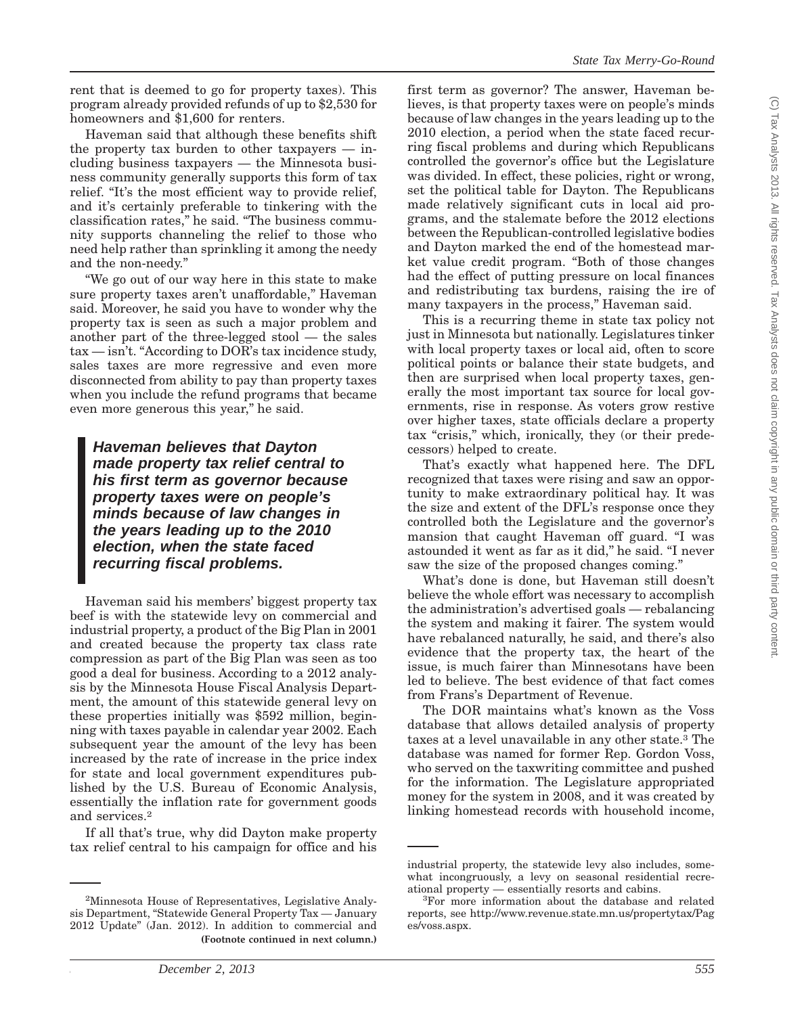rent that is deemed to go for property taxes). This program already provided refunds of up to \$2,530 for homeowners and \$1,600 for renters.

Haveman said that although these benefits shift the property tax burden to other taxpayers — including business taxpayers — the Minnesota business community generally supports this form of tax relief. "It's the most efficient way to provide relief, and it's certainly preferable to tinkering with the classification rates,'' he said. ''The business community supports channeling the relief to those who need help rather than sprinkling it among the needy and the non-needy.''

''We go out of our way here in this state to make sure property taxes aren't unaffordable," Haveman said. Moreover, he said you have to wonder why the property tax is seen as such a major problem and another part of the three-legged stool — the sales  $\text{tax} - \text{isn't. }$ "According to DOR's tax incidence study, sales taxes are more regressive and even more disconnected from ability to pay than property taxes when you include the refund programs that became even more generous this year,'' he said.

*Haveman believes that Dayton made property tax relief central to his first term as governor because property taxes were on people's minds because of law changes in the years leading up to the 2010 election, when the state faced recurring fiscal problems.*

Haveman said his members' biggest property tax beef is with the statewide levy on commercial and industrial property, a product of the Big Plan in 2001 and created because the property tax class rate compression as part of the Big Plan was seen as too good a deal for business. According to a 2012 analysis by the Minnesota House Fiscal Analysis Department, the amount of this statewide general levy on these properties initially was \$592 million, beginning with taxes payable in calendar year 2002. Each subsequent year the amount of the levy has been increased by the rate of increase in the price index for state and local government expenditures published by the U.S. Bureau of Economic Analysis, essentially the inflation rate for government goods and services.2

If all that's true, why did Dayton make property tax relief central to his campaign for office and his

first term as governor? The answer, Haveman believes, is that property taxes were on people's minds because of law changes in the years leading up to the 2010 election, a period when the state faced recurring fiscal problems and during which Republicans controlled the governor's office but the Legislature was divided. In effect, these policies, right or wrong, set the political table for Dayton. The Republicans made relatively significant cuts in local aid programs, and the stalemate before the 2012 elections between the Republican-controlled legislative bodies and Dayton marked the end of the homestead market value credit program. ''Both of those changes had the effect of putting pressure on local finances and redistributing tax burdens, raising the ire of many taxpayers in the process," Haveman said.

This is a recurring theme in state tax policy not just in Minnesota but nationally. Legislatures tinker with local property taxes or local aid, often to score political points or balance their state budgets, and then are surprised when local property taxes, generally the most important tax source for local governments, rise in response. As voters grow restive over higher taxes, state officials declare a property tax "crisis," which, ironically, they (or their predecessors) helped to create.

That's exactly what happened here. The DFL recognized that taxes were rising and saw an opportunity to make extraordinary political hay. It was the size and extent of the DFL's response once they controlled both the Legislature and the governor's mansion that caught Haveman off guard. "I was astounded it went as far as it did,'' he said. ''I never saw the size of the proposed changes coming.''

What's done is done, but Haveman still doesn't believe the whole effort was necessary to accomplish the administration's advertised goals — rebalancing the system and making it fairer. The system would have rebalanced naturally, he said, and there's also evidence that the property tax, the heart of the issue, is much fairer than Minnesotans have been led to believe. The best evidence of that fact comes from Frans's Department of Revenue.

The DOR maintains what's known as the Voss database that allows detailed analysis of property taxes at a level unavailable in any other state.3 The database was named for former Rep. Gordon Voss, who served on the taxwriting committee and pushed for the information. The Legislature appropriated money for the system in 2008, and it was created by linking homestead records with household income,

<sup>&</sup>lt;sup>2</sup>Minnesota House of Representatives, Legislative Analysis Department, ''Statewide General Property Tax — January 2012 Update'' (Jan. 2012). In addition to commercial and **(Footnote continued in next column.)**

industrial property, the statewide levy also includes, somewhat incongruously, a levy on seasonal residential recreational property — essentially resorts and cabins. <sup>3</sup>

<sup>&</sup>lt;sup>3</sup>For more information about the database and related reports, see http://www.revenue.state.mn.us/propertytax/Pag es/voss.aspx.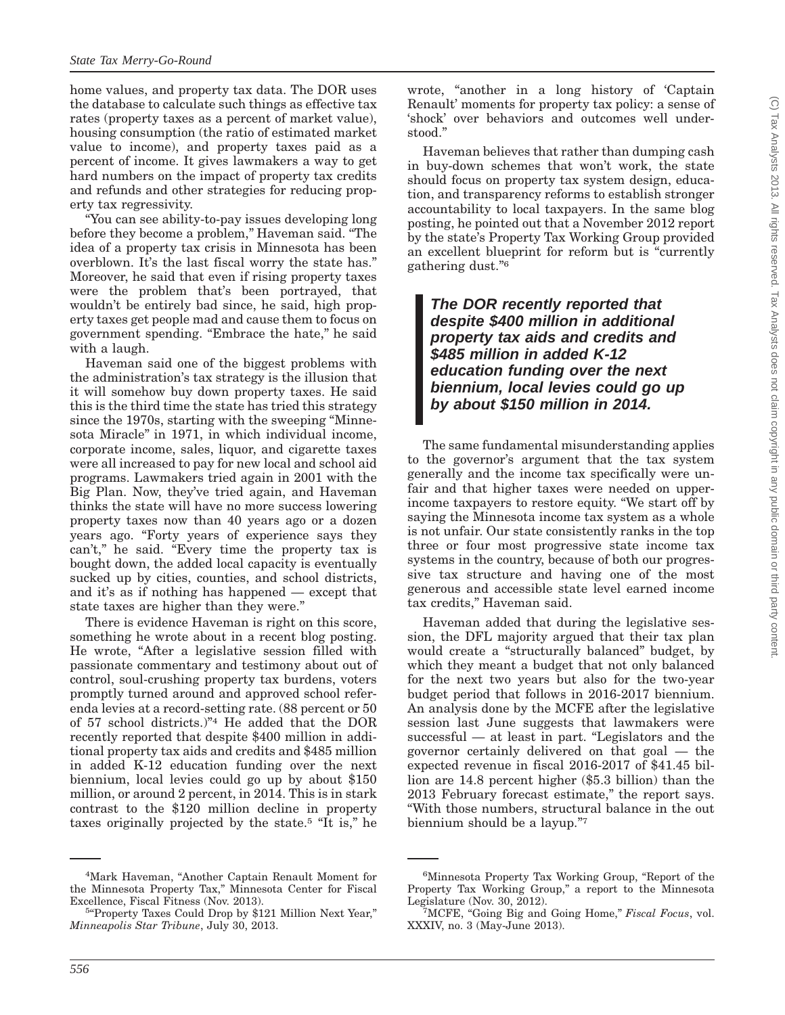(C) Tax Analysts 2013. All rights reserved. Tax Analysts does not claim copyright in any public domain or third party content.(C) Tax Analysts 2013. All rights reserved. Tax Analysts does not claim copyright in any public domain or third party content

home values, and property tax data. The DOR uses the database to calculate such things as effective tax rates (property taxes as a percent of market value), housing consumption (the ratio of estimated market value to income), and property taxes paid as a percent of income. It gives lawmakers a way to get hard numbers on the impact of property tax credits and refunds and other strategies for reducing property tax regressivity.

''You can see ability-to-pay issues developing long before they become a problem,'' Haveman said. ''The idea of a property tax crisis in Minnesota has been overblown. It's the last fiscal worry the state has.'' Moreover, he said that even if rising property taxes were the problem that's been portrayed, that wouldn't be entirely bad since, he said, high property taxes get people mad and cause them to focus on government spending. ''Embrace the hate,'' he said with a laugh.

Haveman said one of the biggest problems with the administration's tax strategy is the illusion that it will somehow buy down property taxes. He said this is the third time the state has tried this strategy since the 1970s, starting with the sweeping ''Minnesota Miracle'' in 1971, in which individual income, corporate income, sales, liquor, and cigarette taxes were all increased to pay for new local and school aid programs. Lawmakers tried again in 2001 with the Big Plan. Now, they've tried again, and Haveman thinks the state will have no more success lowering property taxes now than 40 years ago or a dozen years ago. "Forty years of experience says they can't," he said. "Every time the property tax is bought down, the added local capacity is eventually sucked up by cities, counties, and school districts, and it's as if nothing has happened — except that state taxes are higher than they were.''

There is evidence Haveman is right on this score, something he wrote about in a recent blog posting. He wrote, "After a legislative session filled with passionate commentary and testimony about out of control, soul-crushing property tax burdens, voters promptly turned around and approved school referenda levies at a record-setting rate. (88 percent or 50 of 57 school districts.)''4 He added that the DOR recently reported that despite \$400 million in additional property tax aids and credits and \$485 million in added K-12 education funding over the next biennium, local levies could go up by about \$150 million, or around 2 percent, in 2014. This is in stark contrast to the \$120 million decline in property taxes originally projected by the state.5 ''It is,'' he

wrote, "another in a long history of 'Captain Renault' moments for property tax policy: a sense of 'shock' over behaviors and outcomes well understood.''

Haveman believes that rather than dumping cash in buy-down schemes that won't work, the state should focus on property tax system design, education, and transparency reforms to establish stronger accountability to local taxpayers. In the same blog posting, he pointed out that a November 2012 report by the state's Property Tax Working Group provided an excellent blueprint for reform but is "currently gathering dust.''6

*The DOR recently reported that despite \$400 million in additional property tax aids and credits and \$485 million in added K-12 education funding over the next biennium, local levies could go up by about \$150 million in 2014.*

The same fundamental misunderstanding applies to the governor's argument that the tax system generally and the income tax specifically were unfair and that higher taxes were needed on upperincome taxpayers to restore equity. ''We start off by saying the Minnesota income tax system as a whole is not unfair. Our state consistently ranks in the top three or four most progressive state income tax systems in the country, because of both our progressive tax structure and having one of the most generous and accessible state level earned income tax credits,'' Haveman said.

Haveman added that during the legislative session, the DFL majority argued that their tax plan would create a "structurally balanced" budget, by which they meant a budget that not only balanced for the next two years but also for the two-year budget period that follows in 2016-2017 biennium. An analysis done by the MCFE after the legislative session last June suggests that lawmakers were successful — at least in part. "Legislators and the governor certainly delivered on that goal — the expected revenue in fiscal 2016-2017 of \$41.45 billion are 14.8 percent higher (\$5.3 billion) than the 2013 February forecast estimate,'' the report says. ''With those numbers, structural balance in the out biennium should be a layup.''7

<sup>4</sup> Mark Haveman, ''Another Captain Renault Moment for the Minnesota Property Tax,'' Minnesota Center for Fiscal Excellence, Fiscal Fitness (Nov. 2013).

<sup>&</sup>lt;sup>5</sup>"Property Taxes Could Drop by \$121 Million Next Year," *Minneapolis Star Tribune*, July 30, 2013.

<sup>&</sup>lt;sup>6</sup>Minnesota Property Tax Working Group, "Report of the Property Tax Working Group," a report to the Minnesota Legislature (Nov. 30, 2012).

MCFE, ''Going Big and Going Home,'' *Fiscal Focus*, vol. XXXIV, no. 3 (May-June 2013).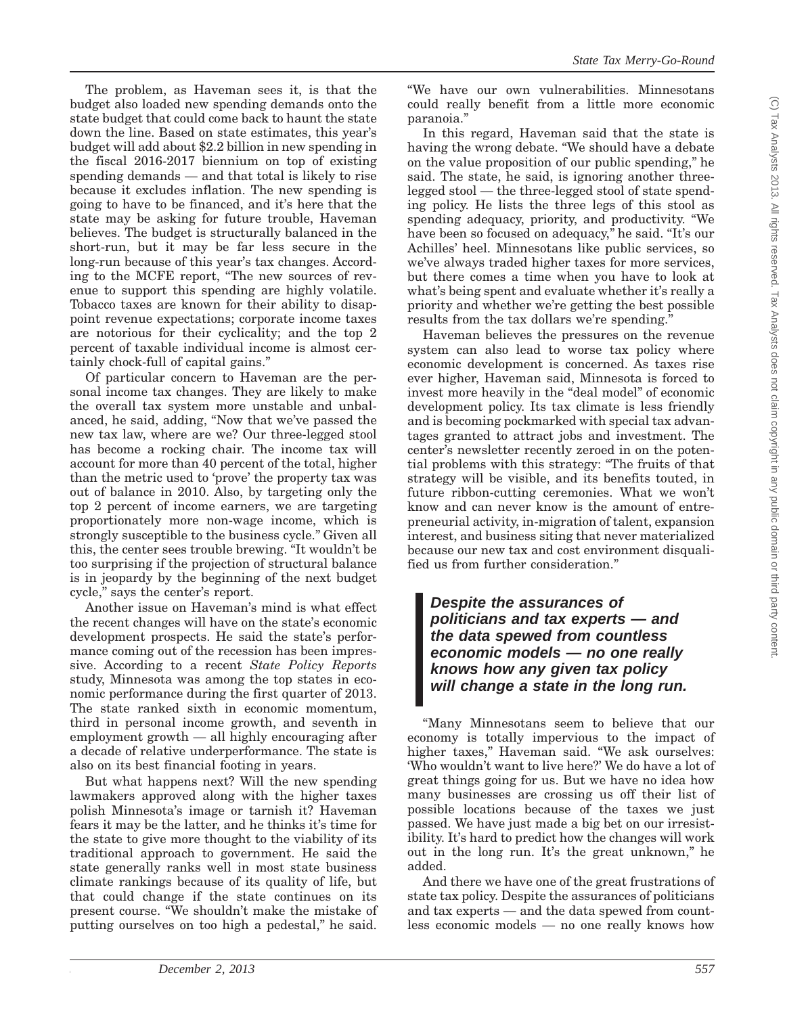The problem, as Haveman sees it, is that the budget also loaded new spending demands onto the state budget that could come back to haunt the state down the line. Based on state estimates, this year's budget will add about \$2.2 billion in new spending in the fiscal 2016-2017 biennium on top of existing spending demands — and that total is likely to rise because it excludes inflation. The new spending is going to have to be financed, and it's here that the state may be asking for future trouble, Haveman believes. The budget is structurally balanced in the short-run, but it may be far less secure in the long-run because of this year's tax changes. According to the MCFE report, ''The new sources of revenue to support this spending are highly volatile. Tobacco taxes are known for their ability to disappoint revenue expectations; corporate income taxes are notorious for their cyclicality; and the top 2 percent of taxable individual income is almost certainly chock-full of capital gains.''

Of particular concern to Haveman are the personal income tax changes. They are likely to make the overall tax system more unstable and unbalanced, he said, adding, ''Now that we've passed the new tax law, where are we? Our three-legged stool has become a rocking chair. The income tax will account for more than 40 percent of the total, higher than the metric used to 'prove' the property tax was out of balance in 2010. Also, by targeting only the top 2 percent of income earners, we are targeting proportionately more non-wage income, which is strongly susceptible to the business cycle.'' Given all this, the center sees trouble brewing. ''It wouldn't be too surprising if the projection of structural balance is in jeopardy by the beginning of the next budget cycle,'' says the center's report.

Another issue on Haveman's mind is what effect the recent changes will have on the state's economic development prospects. He said the state's performance coming out of the recession has been impressive. According to a recent *State Policy Reports* study, Minnesota was among the top states in economic performance during the first quarter of 2013. The state ranked sixth in economic momentum, third in personal income growth, and seventh in employment growth — all highly encouraging after a decade of relative underperformance. The state is also on its best financial footing in years.

But what happens next? Will the new spending lawmakers approved along with the higher taxes polish Minnesota's image or tarnish it? Haveman fears it may be the latter, and he thinks it's time for the state to give more thought to the viability of its traditional approach to government. He said the state generally ranks well in most state business climate rankings because of its quality of life, but that could change if the state continues on its present course. ''We shouldn't make the mistake of putting ourselves on too high a pedestal,'' he said.

''We have our own vulnerabilities. Minnesotans could really benefit from a little more economic paranoia.''

In this regard, Haveman said that the state is having the wrong debate. "We should have a debate on the value proposition of our public spending,'' he said. The state, he said, is ignoring another threelegged stool — the three-legged stool of state spending policy. He lists the three legs of this stool as spending adequacy, priority, and productivity. ''We have been so focused on adequacy," he said. "It's our Achilles' heel. Minnesotans like public services, so we've always traded higher taxes for more services, but there comes a time when you have to look at what's being spent and evaluate whether it's really a priority and whether we're getting the best possible results from the tax dollars we're spending.''

Haveman believes the pressures on the revenue system can also lead to worse tax policy where economic development is concerned. As taxes rise ever higher, Haveman said, Minnesota is forced to invest more heavily in the "deal model" of economic development policy. Its tax climate is less friendly and is becoming pockmarked with special tax advantages granted to attract jobs and investment. The center's newsletter recently zeroed in on the potential problems with this strategy: ''The fruits of that strategy will be visible, and its benefits touted, in future ribbon-cutting ceremonies. What we won't know and can never know is the amount of entrepreneurial activity, in-migration of talent, expansion interest, and business siting that never materialized because our new tax and cost environment disqualified us from further consideration.''

*Despite the assurances of politicians and tax experts — and the data spewed from countless economic models — no one really knows how any given tax policy will change a state in the long run.*

''Many Minnesotans seem to believe that our economy is totally impervious to the impact of higher taxes," Haveman said. "We ask ourselves: 'Who wouldn't want to live here?' We do have a lot of great things going for us. But we have no idea how many businesses are crossing us off their list of possible locations because of the taxes we just passed. We have just made a big bet on our irresistibility. It's hard to predict how the changes will work out in the long run. It's the great unknown,'' he added.

And there we have one of the great frustrations of state tax policy. Despite the assurances of politicians and tax experts — and the data spewed from countless economic models — no one really knows how